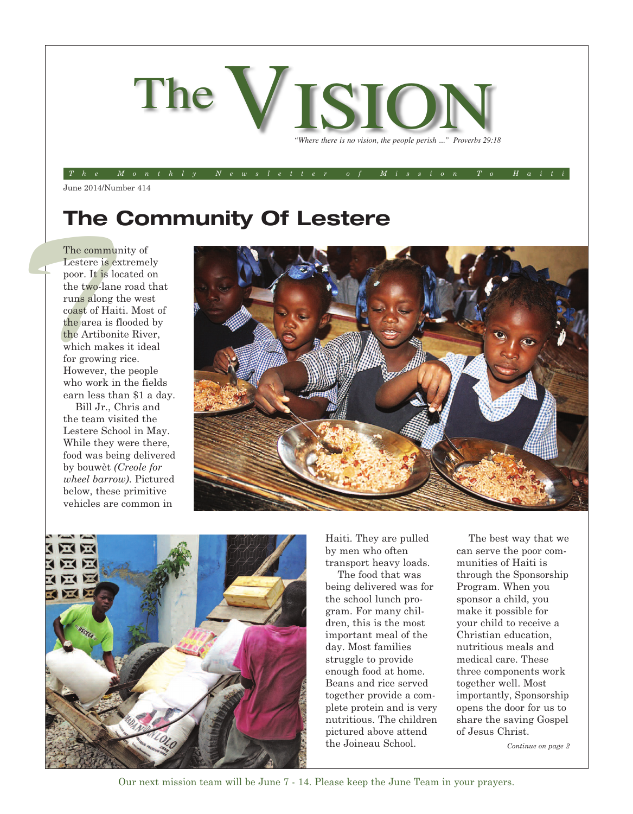

The Monthly Newsletter of Mission To Hait

June 2014/Number 414

## **The Community Of Lestere**

The community of the two-line and the Artib which may for grown However, the area in the Artib which may for grown However, The community of Lestere is extremely poor. It is located on the two-lane road that runs along the west coast of Haiti. Most of the area is flooded by the Artibonite River, which makes it ideal for growing rice. However, the people who work in the fields earn less than \$1 a day.

Bill Jr., Chris and the team visited the Lestere School in May. While they were there, food was being delivered by bouwèt *(Creole for wheel barrow)*. Pictured below, these primitive vehicles are common in





Haiti. They are pulled by men who often transport heavy loads.

The food that was being delivered was for the school lunch program. For many children, this is the most important meal of the day. Most families struggle to provide enough food at home. Beans and rice served together provide a complete protein and is very nutritious. The children pictured above attend the Joineau School.

The best way that we can serve the poor communities of Haiti is through the Sponsorship Program. When you sponsor a child, you make it possible for your child to receive a Christian education, nutritious meals and medical care. These three components work together well. Most importantly, Sponsorship opens the door for us to share the saving Gospel of Jesus Christ.

*Continue on page 2*